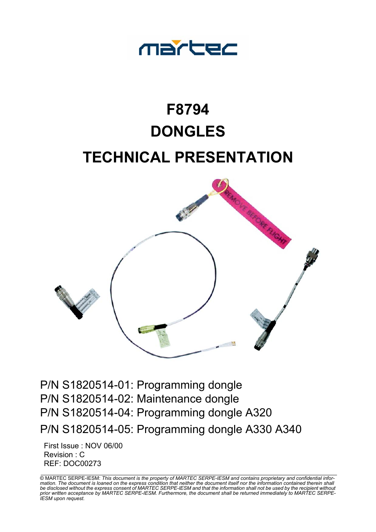



P/N S1820514-01: Programming dongle P/N S1820514-02: Maintenance dongle P/N S1820514-04: Programming dongle A320 P/N S1820514-05: Programming dongle A330 A340

First Issue : NOV 06/00 Revision : C REF: DOC00273

© MARTEC SERPE-IESM: This document is the property of MARTEC SERPE-IESM and contains proprietary and confidential infor-<br>mation. The document is loaned on the express condition that neither the document itself nor the info *be disclosed without the express consent of MARTEC SERPE-IESM and that the information shall not be used by the recipient without prior written acceptance by MARTEC SERPE-IESM. Furthermore, the document shall be returned immediately to MARTEC SERPE-IESM upon request.*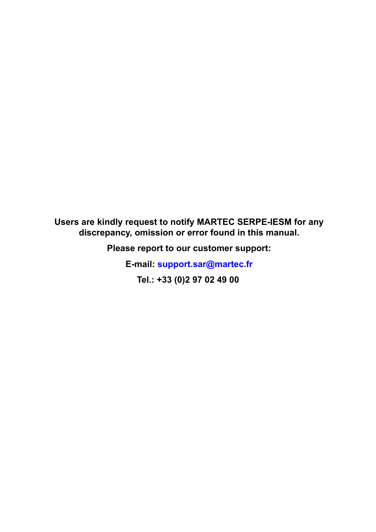**Users are kindly request to notify MARTEC SERPE-IESM for any discrepancy, omission or error found in this manual.**

**Please report to our customer support:**

**E-mail: [support.sar@martec.fr](mailto: support.sar@martec.fr)**

**Tel.: +33 (0)2 97 02 49 00**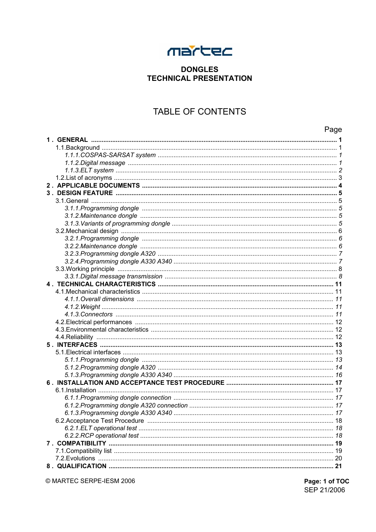

# TABLE OF CONTENTS

| Page |
|------|
|      |
|      |
|      |
|      |
|      |
|      |
|      |
|      |
|      |
|      |
|      |
|      |
|      |
|      |
|      |
|      |
|      |
|      |
|      |
|      |
|      |
|      |
|      |
|      |
|      |
|      |
|      |
|      |
|      |
|      |
|      |
|      |
|      |
|      |
|      |
|      |
|      |
|      |
|      |
|      |
|      |
|      |
|      |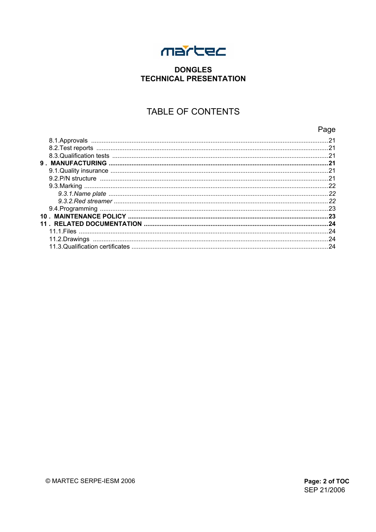

# TABLE OF CONTENTS

|  | . .<br>× | ۰.<br>× |
|--|----------|---------|
|--|----------|---------|

| 24 |
|----|
|    |
|    |
|    |
|    |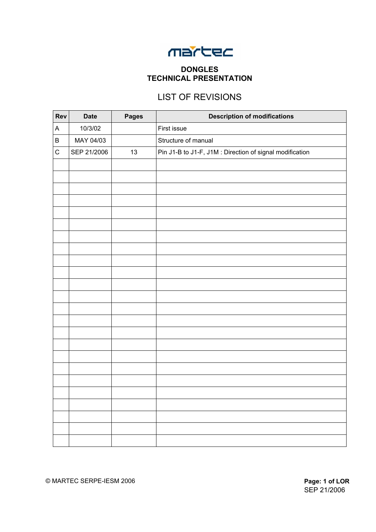

# LIST OF REVISIONS

| <b>Rev</b>  | <b>Date</b> | <b>Pages</b> | <b>Description of modifications</b>                      |
|-------------|-------------|--------------|----------------------------------------------------------|
| $\mathsf A$ | 10/3/02     |              | First issue                                              |
| $\sf B$     | MAY 04/03   |              | Structure of manual                                      |
| $\mathsf C$ | SEP 21/2006 | 13           | Pin J1-B to J1-F, J1M : Direction of signal modification |
|             |             |              |                                                          |
|             |             |              |                                                          |
|             |             |              |                                                          |
|             |             |              |                                                          |
|             |             |              |                                                          |
|             |             |              |                                                          |
|             |             |              |                                                          |
|             |             |              |                                                          |
|             |             |              |                                                          |
|             |             |              |                                                          |
|             |             |              |                                                          |
|             |             |              |                                                          |
|             |             |              |                                                          |
|             |             |              |                                                          |
|             |             |              |                                                          |
|             |             |              |                                                          |
|             |             |              |                                                          |
|             |             |              |                                                          |
|             |             |              |                                                          |
|             |             |              |                                                          |
|             |             |              |                                                          |
|             |             |              |                                                          |
|             |             |              |                                                          |
|             |             |              |                                                          |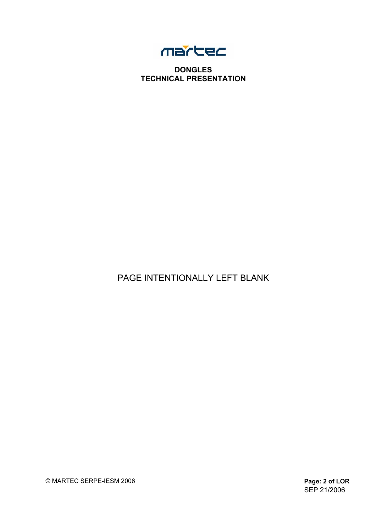

PAGE INTENTIONALLY LEFT BLANK

© MARTEC SERPE-IESM 2006

**Page: 2 of LOR** SEP 21/2006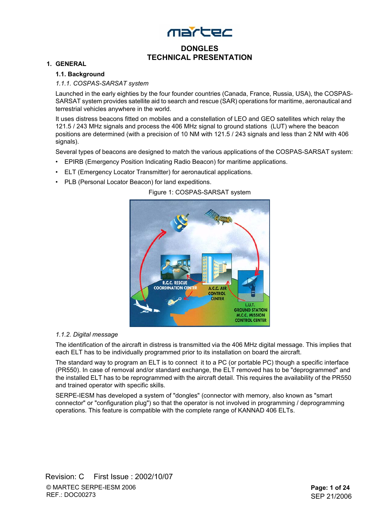

#### <span id="page-6-0"></span>**1. GENERAL**

#### <span id="page-6-1"></span>**1.1. Background**

<span id="page-6-2"></span>*1.1.1. COSPAS-SARSAT system*

Launched in the early eighties by the four founder countries (Canada, France, Russia, USA), the COSPAS-SARSAT system provides satellite aid to search and rescue (SAR) operations for maritime, aeronautical and terrestrial vehicles anywhere in the world.

It uses distress beacons fitted on mobiles and a constellation of LEO and GEO satellites which relay the 121.5 / 243 MHz signals and process the 406 MHz signal to ground stations (LUT) where the beacon positions are determined (with a precision of 10 NM with 121.5 / 243 signals and less than 2 NM with 406 signals).

Several types of beacons are designed to match the various applications of the COSPAS-SARSAT system:

- EPIRB (Emergency Position Indicating Radio Beacon) for maritime applications.
- ELT (Emergency Locator Transmitter) for aeronautical applications.
- PLB (Personal Locator Beacon) for land expeditions.



Figure 1: COSPAS-SARSAT system

#### <span id="page-6-3"></span>*1.1.2. Digital message*

The identification of the aircraft in distress is transmitted via the 406 MHz digital message. This implies that each ELT has to be individually programmed prior to its installation on board the aircraft.

The standard way to program an ELT is to connect it to a PC (or portable PC) though a specific interface (PR550). In case of removal and/or standard exchange, the ELT removed has to be "deprogrammed" and the installed ELT has to be reprogrammed with the aircraft detail. This requires the availability of the PR550 and trained operator with specific skills.

SERPE-IESM has developed a system of "dongles" (connector with memory, also known as "smart connector" or "configuration plug") so that the operator is not involved in programming / deprogramming operations. This feature is compatible with the complete range of KANNAD 406 ELTs.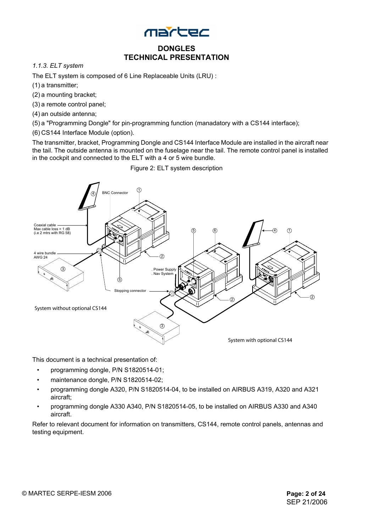

<span id="page-7-0"></span>*1.1.3. ELT system*

The ELT system is composed of 6 Line Replaceable Units (LRU) :

(1) a transmitter;

(2) a mounting bracket;

(3) a remote control panel;

(4) an outside antenna;

(5) a "Programming Dongle" for pin-programming function (manadatory with a CS144 interface);

(6) CS144 Interface Module (option).

The transmitter, bracket, Programming Dongle and CS144 Interface Module are installed in the aircraft near the tail. The outside antenna is mounted on the fuselage near the tail. The remote control panel is installed in the cockpit and connected to the ELT with a 4 or 5 wire bundle.

Figure 2: ELT system description

<span id="page-7-1"></span>

This document is a technical presentation of:

- programming dongle, P/N S1820514-01;
- maintenance dongle, P/N S1820514-02;
- programming dongle A320, P/N S1820514-04, to be installed on AIRBUS A319, A320 and A321 aircraft;
- programming dongle A330 A340, P/N S1820514-05, to be installed on AIRBUS A330 and A340 aircraft.

Refer to relevant document for information on transmitters, CS144, remote control panels, antennas and testing equipment.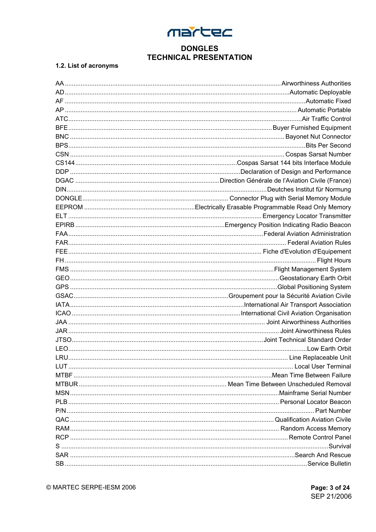

## <span id="page-8-0"></span>1.2. List of acronyms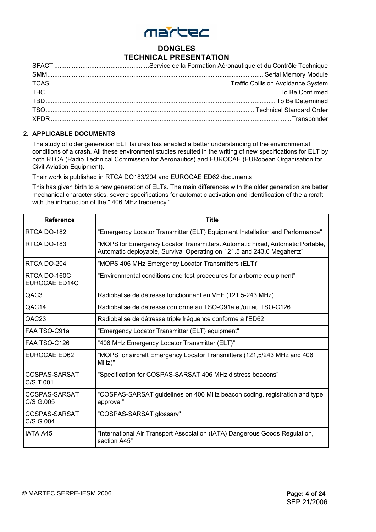

## <span id="page-9-0"></span>**2. APPLICABLE DOCUMENTS**

The study of older generation ELT failures has enabled a better understanding of the environmental conditions of a crash. All these environment studies resulted in the writing of new specifications for ELT by both RTCA (Radio Technical Commission for Aeronautics) and EUROCAE (EURopean Organisation for Civil Aviation Equipment).

Their work is published in RTCA DO183/204 and EUROCAE ED62 documents.

This has given birth to a new generation of ELTs. The main differences with the older generation are better mechanical characteristics, severe specifications for automatic activation and identification of the aircraft with the introduction of the " 406 MHz frequency ".

| <b>Reference</b>                     | <b>Title</b>                                                                                                                                             |
|--------------------------------------|----------------------------------------------------------------------------------------------------------------------------------------------------------|
| RTCA DO-182                          | "Emergency Locator Transmitter (ELT) Equipment Installation and Performance"                                                                             |
| RTCA DO-183                          | "MOPS for Emergency Locator Transmitters. Automatic Fixed, Automatic Portable,<br>Automatic deployable, Survival Operating on 121.5 and 243.0 Megahertz" |
| RTCA DO-204                          | "MOPS 406 MHz Emergency Locator Transmitters (ELT)"                                                                                                      |
| RTCA DO-160C<br><b>EUROCAE ED14C</b> | "Environmental conditions and test procedures for airborne equipment"                                                                                    |
| QAC3                                 | Radiobalise de détresse fonctionnant en VHF (121.5-243 MHz)                                                                                              |
| QAC14                                | Radiobalise de détresse conforme au TSO-C91a et/ou au TSO-C126                                                                                           |
| QAC23                                | Radiobalise de détresse triple fréquence conforme à l'ED62                                                                                               |
| FAA TSO-C91a                         | "Emergency Locator Transmitter (ELT) equipment"                                                                                                          |
| FAA TSO-C126                         | "406 MHz Emergency Locator Transmitter (ELT)"                                                                                                            |
| EUROCAE ED62                         | "MOPS for aircraft Emergency Locator Transmitters (121,5/243 MHz and 406<br>MHz)"                                                                        |
| COSPAS-SARSAT<br>C/S T.001           | "Specification for COSPAS-SARSAT 406 MHz distress beacons"                                                                                               |
| COSPAS-SARSAT<br>$C/S$ G.005         | "COSPAS-SARSAT guidelines on 406 MHz beacon coding, registration and type<br>approval"                                                                   |
| COSPAS-SARSAT<br>C/S G.004           | "COSPAS-SARSAT glossary"                                                                                                                                 |
| <b>IATA A45</b>                      | "International Air Transport Association (IATA) Dangerous Goods Regulation,<br>section A45"                                                              |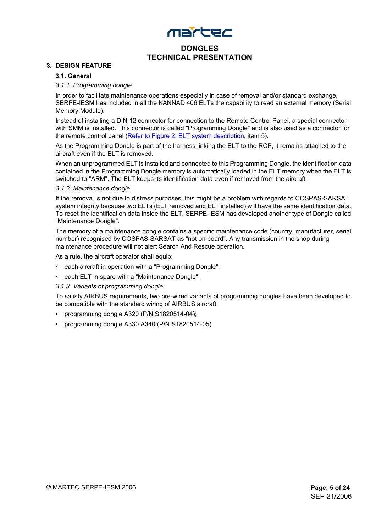

#### <span id="page-10-0"></span>**3. DESIGN FEATURE**

#### <span id="page-10-1"></span>**3.1. General**

#### <span id="page-10-2"></span>*3.1.1. Programming dongle*

In order to facilitate maintenance operations especially in case of removal and/or standard exchange, SERPE-IESM has included in all the KANNAD 406 ELTs the capability to read an external memory (Serial Memory Module).

Instead of installing a DIN 12 connector for connection to the Remote Control Panel, a special connector with SMM is installed. This connector is called "Programming Dongle" and is also used as a connector for the remote control panel ([Refer to Figure 2: ELT system description](#page-7-1), item 5).

As the Programming Dongle is part of the harness linking the ELT to the RCP, it remains attached to the aircraft even if the ELT is removed.

When an unprogrammed ELT is installed and connected to this Programming Dongle, the identification data contained in the Programming Dongle memory is automatically loaded in the ELT memory when the ELT is switched to "ARM". The ELT keeps its identification data even if removed from the aircraft.

#### <span id="page-10-3"></span>*3.1.2. Maintenance dongle*

If the removal is not due to distress purposes, this might be a problem with regards to COSPAS-SARSAT system integrity because two ELTs (ELT removed and ELT installed) will have the same identification data. To reset the identification data inside the ELT, SERPE-IESM has developed another type of Dongle called "Maintenance Dongle".

The memory of a maintenance dongle contains a specific maintenance code (country, manufacturer, serial number) recognised by COSPAS-SARSAT as "not on board". Any transmission in the shop during maintenance procedure will not alert Search And Rescue operation.

As a rule, the aircraft operator shall equip:

- each aircraft in operation with a "Programming Dongle";
- each ELT in spare with a "Maintenance Dongle".

#### <span id="page-10-4"></span>*3.1.3. Variants of programming dongle*

To satisfy AIRBUS requirements, two pre-wired variants of programming dongles have been developed to be compatible with the standard wiring of AIRBUS aircraft:

- programming dongle A320 (P/N S1820514-04);
- programming dongle A330 A340 (P/N S1820514-05).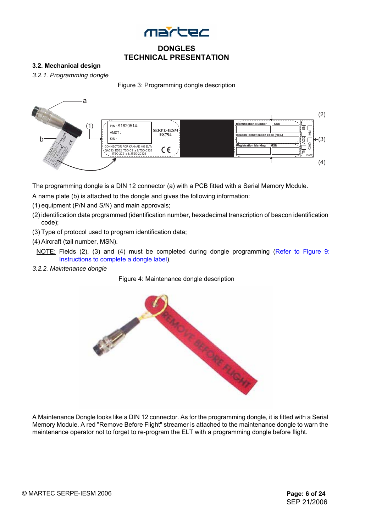

## <span id="page-11-0"></span>**3.2. Mechanical design**

<span id="page-11-1"></span>*3.2.1. Programming dongle*

Figure 3: Programming dongle description

<span id="page-11-3"></span>

The programming dongle is a DIN 12 connector (a) with a PCB fitted with a Serial Memory Module.

A name plate (b) is attached to the dongle and gives the following information:

- (1) equipment (P/N and S/N) and main approvals;
- (2) identification data programmed (identification number, hexadecimal transcription of beacon identification code);
- (3) Type of protocol used to program identification data;
- (4) Aircraft (tail number, MSN).
- NOTE: Fields (2), (3) and (4) must be completed during dongle programming ([Refer to Figure 9:](#page-14-0) [Instructions to complete a dongle label](#page-14-0)).

#### <span id="page-11-2"></span>*3.2.2. Maintenance dongle*





A Maintenance Dongle looks like a DIN 12 connector. As for the programming dongle, it is fitted with a Serial Memory Module. A red "Remove Before Flight" streamer is attached to the maintenance dongle to warn the maintenance operator not to forget to re-program the ELT with a programming dongle before flight.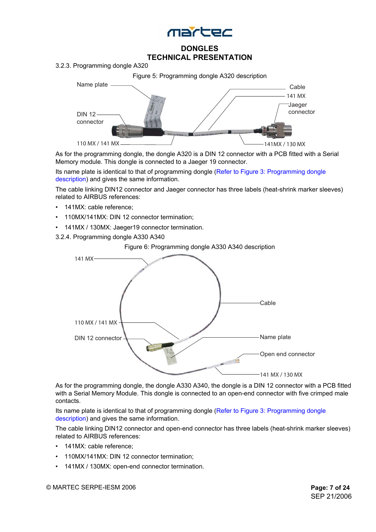

<span id="page-12-0"></span>



As for the programming dongle, the dongle A320 is a DIN 12 connector with a PCB fitted with a Serial Memory module. This dongle is connected to a Jaeger 19 connector.

Its name plate is identical to that of programming dongle [\(Refer to Figure 3: Programming dongle](#page-11-3)  [description](#page-11-3)) and gives the same information.

The cable linking DIN12 connector and Jaeger connector has three labels (heat-shrink marker sleeves) related to AIRBUS references:

- 141MX: cable reference;
- 110MX/141MX: DIN 12 connector termination;
- 141MX / 130MX: Jaeger19 connector termination.
- <span id="page-12-1"></span>3.2.4. Programming dongle A330 A340



As for the programming dongle, the dongle A330 A340, the dongle is a DIN 12 connector with a PCB fitted with a Serial Memory Module. This dongle is connected to an open-end connector with five crimped male contacts.

Its name plate is identical to that of programming dongle [\(Refer to Figure 3: Programming dongle](#page-11-3)  [description](#page-11-3)) and gives the same information.

The cable linking DIN12 connector and open-end connector has three labels (heat-shrink marker sleeves) related to AIRBUS references:

- 141MX: cable reference:
- 110MX/141MX: DIN 12 connector termination;
- 141MX / 130MX: open-end connector termination.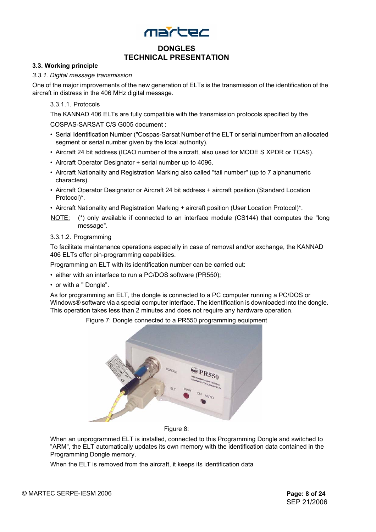

#### <span id="page-13-0"></span>**3.3. Working principle**

#### <span id="page-13-1"></span>*3.3.1. Digital message transmission*

One of the major improvements of the new generation of ELTs is the transmission of the identification of the aircraft in distress in the 406 MHz digital message.

3.3.1.1. Protocols

The KANNAD 406 ELTs are fully compatible with the transmission protocols specified by the COSPAS-SARSAT C/S G005 document :

- Serial Identification Number ("Cospas-Sarsat Number of the ELT or serial number from an allocated segment or serial number given by the local authority).
- Aircraft 24 bit address (ICAO number of the aircraft, also used for MODE S XPDR or TCAS).
- Aircraft Operator Designator + serial number up to 4096.
- Aircraft Nationality and Registration Marking also called "tail number" (up to 7 alphanumeric characters).
- Aircraft Operator Designator or Aircraft 24 bit address + aircraft position (Standard Location Protocol)\*.
- Aircraft Nationality and Registration Marking + aircraft position (User Location Protocol)\*.
- NOTE: (\*) only available if connected to an interface module (CS144) that computes the "long message".
- 3.3.1.2. Programming

To facilitate maintenance operations especially in case of removal and/or exchange, the KANNAD 406 ELTs offer pin-programming capabilities.

Programming an ELT with its identification number can be carried out:

- either with an interface to run a PC/DOS software (PR550);
- or with a " Dongle".

As for programming an ELT, the dongle is connected to a PC computer running a PC/DOS or Windows® software via a special computer interface. The identification is downloaded into the dongle. This operation takes less than 2 minutes and does not require any hardware operation.

Figure 7: Dongle connected to a PR550 programming equipment

Figure 8:

When an unprogrammed ELT is installed, connected to this Programming Dongle and switched to "ARM", the ELT automatically updates its own memory with the identification data contained in the Programming Dongle memory.

When the ELT is removed from the aircraft, it keeps its identification data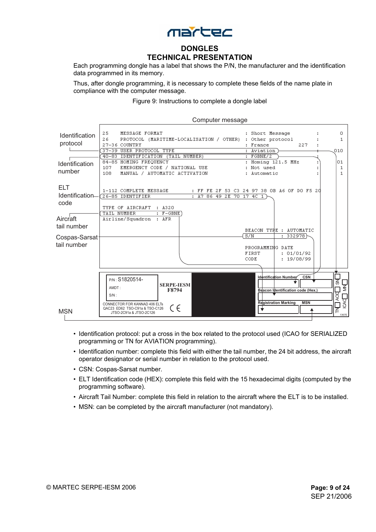

Each programming dongle has a label that shows the P/N, the manufacturer and the identification data programmed in its memory.

Thus, after dongle programming, it is necessary to complete these fields of the name plate in compliance with the computer message.

Figure 9: Instructions to complete a dongle label

<span id="page-14-0"></span>

Computer message

- Identification protocol: put a cross in the box related to the protocol used (ICAO for SERIALIZED programming or TN for AVIATION programming).
- Identification number: complete this field with either the tail number, the 24 bit address, the aircraft operator designator or serial number in relation to the protocol used.
- CSN: Cospas-Sarsat number.
- ELT Identification code (HEX): complete this field with the 15 hexadecimal digits (computed by the programming software).
- Aircraft Tail Number: complete this field in relation to the aircraft where the ELT is to be installed.
- MSN: can be completed by the aircraft manufacturer (not mandatory).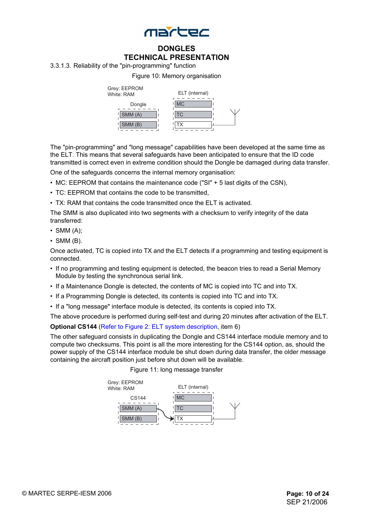

#### 3.3.1.3. Reliability of the "pin-programming" function

#### Figure 10: Memory organisation



The "pin-programming" and "long message" capabilities have been developed at the same time as the ELT. This means that several safeguards have been anticipated to ensure that the ID code transmitted is correct even in extreme condition should the Dongle be damaged during data transfer.

One of the safeguards concerns the internal memory organisation:

- MC: EEPROM that contains the maintenance code ("SI" + 5 last digits of the CSN),
- TC: EEPROM that contains the code to be transmitted,
- TX: RAM that contains the code transmitted once the ELT is activated.

The SMM is also duplicated into two segments with a checksum to verify integrity of the data transferred:

- $\cdot$  SMM (A);
- SMM (B).

Once activated, TC is copied into TX and the ELT detects if a programming and testing equipment is connected.

- If no programming and testing equipment is detected, the beacon tries to read a Serial Memory Module by testing the synchronous serial link.
- If a Maintenance Dongle is detected, the contents of MC is copied into TC and into TX.
- If a Programming Dongle is detected, its contents is copied into TC and into TX.
- If a "long message" interface module is detected, its contents is copied into TX.
- The above procedure is performed during self-test and during 20 minutes after activation of the ELT.

**Optional CS144** ([Refer to Figure 2: ELT system description,](#page-7-1) item 6)

The other safeguard consists in duplicating the Dongle and CS144 interface module memory and to compute two checksums. This point is all the more interesting for the CS144 option, as, should the power supply of the CS144 interface module be shut down during data transfer, the older message containing the aircraft position just before shut down will be available.



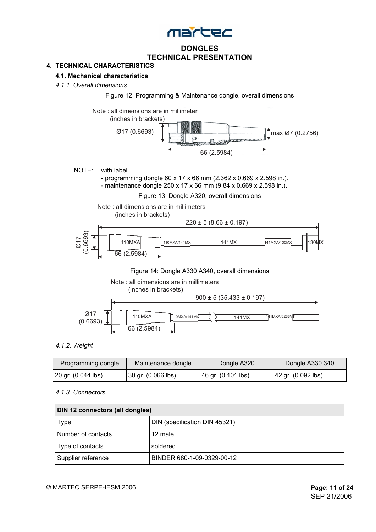

# <span id="page-16-0"></span>**4. TECHNICAL CHARACTERISTICS**

# <span id="page-16-1"></span>**4.1. Mechanical characteristics**

<span id="page-16-2"></span>*4.1.1. Overall dimensions*

Figure 12: Programming & Maintenance dongle, overall dimensions

Note : all dimensions are in millimeter

(inches in brackets)



#### NOTE: with label

- programming dongle 60 x 17 x 66 mm (2.362 x 0.669 x 2.598 in.).
- maintenance dongle 250 x 17 x 66 mm (9.84 x 0.669 x 2.598 in.).

Figure 13: Dongle A320, overall dimensions

Note : all dimensions are in millimeters

(inches in brackets)



Figure 14: Dongle A330 A340, overall dimensions



 $900 \pm 5 (35.433 \pm 0.197)$ 



#### <span id="page-16-3"></span>*4.1.2. Weight*

| Programming dongle | Maintenance dongle | Dongle A320        | Dongle A330 340    |
|--------------------|--------------------|--------------------|--------------------|
| 20 gr. (0.044 lbs) | 30 gr. (0.066 lbs) | 46 gr. (0.101 lbs) | 42 gr. (0.092 lbs) |

## <span id="page-16-4"></span>*4.1.3. Connectors*

| DIN 12 connectors (all dongles) |                               |  |
|---------------------------------|-------------------------------|--|
| <b>Type</b>                     | DIN (specification DIN 45321) |  |
| Number of contacts              | 12 male                       |  |
| Type of contacts                | soldered                      |  |
| Supplier reference              | BINDER 680-1-09-0329-00-12    |  |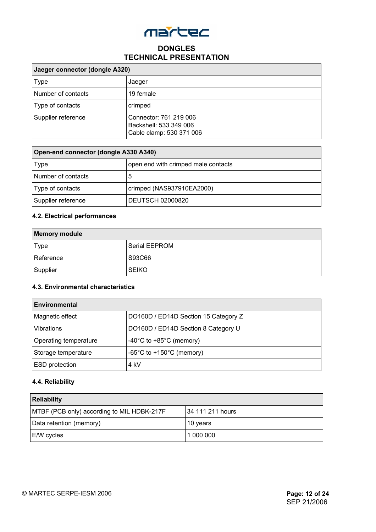

| Jaeger connector (dongle A320) |                                                                              |  |
|--------------------------------|------------------------------------------------------------------------------|--|
| Type                           | Jaeger                                                                       |  |
| Number of contacts             | 19 female                                                                    |  |
| Type of contacts               | crimped                                                                      |  |
| Supplier reference             | Connector: 761 219 006<br>Backshell: 533 349 006<br>Cable clamp: 530 371 006 |  |

| Open-end connector (dongle A330 A340) |                                     |  |
|---------------------------------------|-------------------------------------|--|
| Type                                  | open end with crimped male contacts |  |
| Number of contacts                    | b                                   |  |
| Type of contacts                      | crimped (NAS937910EA2000)           |  |
| Supplier reference                    | <b>DEUTSCH 02000820</b>             |  |

## <span id="page-17-0"></span>**4.2. Electrical performances**

| <b>Memory module</b> |                      |  |
|----------------------|----------------------|--|
| Type                 | <b>Serial EEPROM</b> |  |
| Reference            | S93C66               |  |
| Supplier             | <b>SEIKO</b>         |  |

## <span id="page-17-1"></span>**4.3. Environmental characteristics**

| <b>Environmental</b>  |                                              |
|-----------------------|----------------------------------------------|
| Magnetic effect       | DO160D / ED14D Section 15 Category Z         |
| Vibrations            | DO160D / ED14D Section 8 Category U          |
| Operating temperature | -40 $\degree$ C to +85 $\degree$ C (memory)  |
| Storage temperature   | -65 $\degree$ C to +150 $\degree$ C (memory) |
| <b>ESD</b> protection | 4 kV                                         |

#### <span id="page-17-2"></span>**4.4. Reliability**

| <b>Reliability</b>                         |                    |
|--------------------------------------------|--------------------|
| MTBF (PCB only) according to MIL HDBK-217F | l 34 111 211 hours |
| Data retention (memory)                    | 10 years           |
| E/W cycles                                 | 1 000 000          |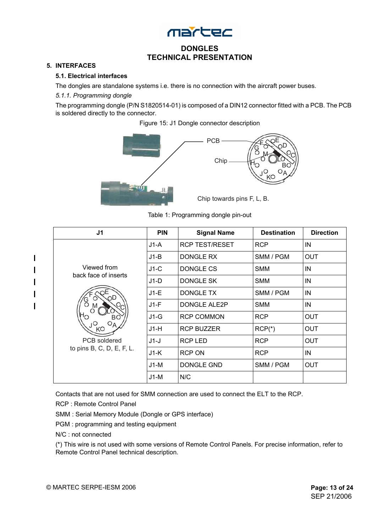

#### <span id="page-18-0"></span>**5. INTERFACES**

#### <span id="page-18-1"></span>**5.1. Electrical interfaces**

The dongles are standalone systems i.e. there is no connection with the aircraft power buses.

#### <span id="page-18-2"></span>*5.1.1. Programming dongle*

The programming dongle (P/N S1820514-01) is composed of a DIN12 connector fitted with a PCB. The PCB is soldered directly to the connector.

Figure 15: J1 Dongle connector description



Table 1: Programming dongle pin-out

<span id="page-18-3"></span>

| J1                           | <b>PIN</b> | <b>Signal Name</b>    | <b>Destination</b> | <b>Direction</b> |
|------------------------------|------------|-----------------------|--------------------|------------------|
|                              | $J1-A$     | <b>RCP TEST/RESET</b> | <b>RCP</b>         | IN               |
|                              | $J1-B$     | DONGLE RX             | SMM / PGM          | <b>OUT</b>       |
| Viewed from                  | $J1-C$     | DONGLE CS             | <b>SMM</b>         | IN               |
| back face of inserts         | $J1-D$     | DONGLE SK             | <b>SMM</b>         | IN               |
|                              | $J1-E$     | DONGLE TX             | SMM / PGM          | IN               |
|                              | $J1-F$     | <b>DONGLE ALE2P</b>   | SMM                | IN               |
| ੍ਿ<br>BС                     | $J1-G$     | <b>RCP COMMON</b>     | <b>RCP</b>         | <b>OUT</b>       |
| KΟ                           | $J1-H$     | <b>RCP BUZZER</b>     | $RCP(*)$           | <b>OUT</b>       |
| PCB soldered                 | $J1-J$     | RCP LED               | <b>RCP</b>         | <b>OUT</b>       |
| to pins $B, C, D, E, F, L$ . | $J1-K$     | <b>RCP ON</b>         | <b>RCP</b>         | IN               |
|                              | $J1-M$     | DONGLE GND            | SMM / PGM          | <b>OUT</b>       |
|                              | $J1-M$     | N/C                   |                    |                  |

Contacts that are not used for SMM connection are used to connect the ELT to the RCP.

RCP : Remote Control Panel

SMM : Serial Memory Module (Dongle or GPS interface)

PGM : programming and testing equipment

N/C : not connected

(\*) This wire is not used with some versions of Remote Control Panels. For precise information, refer to Remote Control Panel technical description.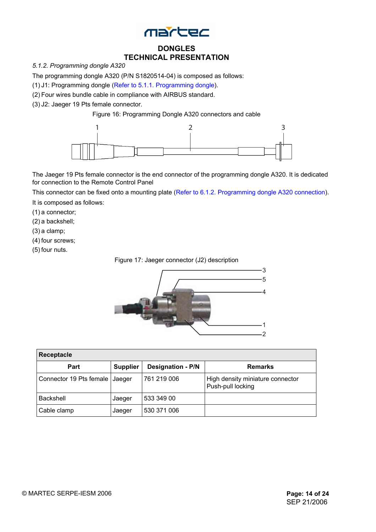

<span id="page-19-0"></span>*5.1.2. Programming dongle A320*

The programming dongle A320 (P/N S1820514-04) is composed as follows:

(1) J1: Programming dongle [\(Refer to 5.1.1. Programming dongle](#page-18-2)).

(2) Four wires bundle cable in compliance with AIRBUS standard.

(3) J2: Jaeger 19 Pts female connector.

Figure 16: Programming Dongle A320 connectors and cable



The Jaeger 19 Pts female connector is the end connector of the programming dongle A320. It is dedicated for connection to the Remote Control Panel

This connector can be fixed onto a mounting plate [\(Refer to 6.1.2. Programming dongle A320 connection\)](#page-22-3).

It is composed as follows:

(1) a connector;

(2) a backshell;

(3) a clamp;

(4) four screws;

(5) four nuts.





| Receptacle                       |                 |                          |                                                       |  |  |
|----------------------------------|-----------------|--------------------------|-------------------------------------------------------|--|--|
| <b>Part</b>                      | <b>Supplier</b> | <b>Designation - P/N</b> | <b>Remarks</b>                                        |  |  |
| Connector 19 Pts female   Jaeger |                 | 761 219 006              | High density miniature connector<br>Push-pull locking |  |  |
| Backshell                        | Jaeger          | 533 349 00               |                                                       |  |  |
| Cable clamp                      | Jaeger          | 530 371 006              |                                                       |  |  |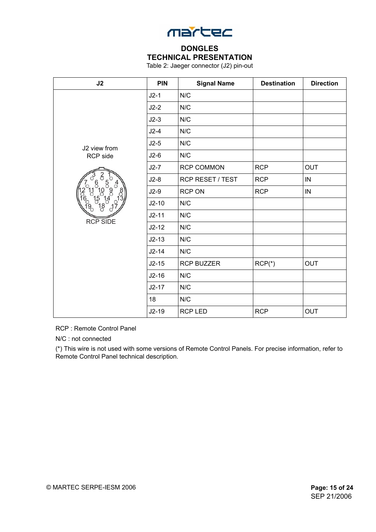

Table 2: Jaeger connector (J2) pin-out

| J2                                          | <b>PIN</b> | <b>Signal Name</b> | <b>Destination</b> | <b>Direction</b> |
|---------------------------------------------|------------|--------------------|--------------------|------------------|
|                                             | $J2-1$     | N/C                |                    |                  |
|                                             | $J2-2$     | N/C                |                    |                  |
|                                             | $J2-3$     | N/C                |                    |                  |
|                                             | $J2-4$     | N/C                |                    |                  |
| J2 view from                                | $J2-5$     | N/C                |                    |                  |
| RCP side                                    | $J2-6$     | N/C                |                    |                  |
|                                             | $J2-7$     | <b>RCP COMMON</b>  | <b>RCP</b>         | <b>OUT</b>       |
|                                             | $J2-8$     | RCP RESET / TEST   | <b>RCP</b>         | $\sf IN$         |
| $\mathrm{g}^{\mathrm{d}}$<br>$\frac{8}{13}$ | $J2-9$     | <b>RCP ON</b>      | <b>RCP</b>         | IN               |
| $\overline{19}$                             | $J2-10$    | N/C                |                    |                  |
| <b>RCP SIDE</b>                             | $J2-11$    | N/C                |                    |                  |
|                                             | $J2-12$    | N/C                |                    |                  |
|                                             | $J2-13$    | N/C                |                    |                  |
|                                             | $J2-14$    | N/C                |                    |                  |
|                                             | $J2-15$    | <b>RCP BUZZER</b>  | $RCP(*)$           | <b>OUT</b>       |
|                                             | $J2-16$    | N/C                |                    |                  |
|                                             | $J2-17$    | N/C                |                    |                  |
|                                             | 18         | N/C                |                    |                  |
|                                             | $J2-19$    | <b>RCP LED</b>     | <b>RCP</b>         | <b>OUT</b>       |

#### RCP : Remote Control Panel

N/C : not connected

(\*) This wire is not used with some versions of Remote Control Panels. For precise information, refer to Remote Control Panel technical description.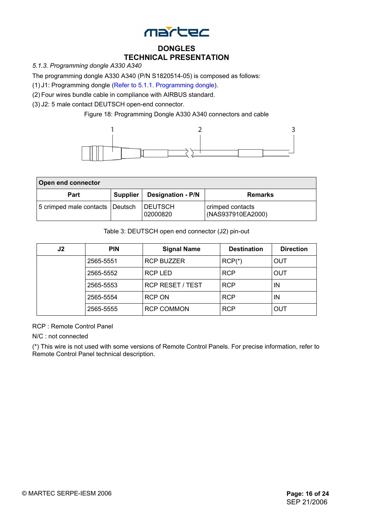

<span id="page-21-0"></span>*5.1.3. Programming dongle A330 A340*

The programming dongle A330 A340 (P/N S1820514-05) is composed as follows:

(1) J1: Programming dongle [\(Refer to 5.1.1. Programming dongle](#page-18-2)).

(2) Four wires bundle cable in compliance with AIRBUS standard.

(3) J2: 5 male contact DEUTSCH open-end connector.

Figure 18: Programming Dongle A330 A340 connectors and cable



| <b>Open end connector</b>         |          |                          |                                       |  |  |
|-----------------------------------|----------|--------------------------|---------------------------------------|--|--|
| <b>Part</b>                       | Supplier | <b>Designation - P/N</b> | Remarks                               |  |  |
| 5 crimped male contacts   Deutsch |          | DEUTSCH<br>02000820      | crimped contacts<br>(NAS937910EA2000) |  |  |

Table 3: DEUTSCH open end connector (J2) pin-out

<span id="page-21-1"></span>

| J2 | <b>PIN</b> | <b>Signal Name</b>      | <b>Destination</b> | <b>Direction</b> |
|----|------------|-------------------------|--------------------|------------------|
|    | 2565-5551  | <b>RCP BUZZER</b>       | $RCP(*)$           | OUT              |
|    | 2565-5552  | <b>RCP LED</b>          | <b>RCP</b>         | <b>OUT</b>       |
|    | 2565-5553  | <b>RCP RESET / TEST</b> | <b>RCP</b>         | IN               |
|    | 2565-5554  | <b>RCP ON</b>           | <b>RCP</b>         | IN               |
|    | 2565-5555  | <b>RCP COMMON</b>       | <b>RCP</b>         | <b>OUT</b>       |

#### RCP : Remote Control Panel

N/C : not connected

(\*) This wire is not used with some versions of Remote Control Panels. For precise information, refer to Remote Control Panel technical description.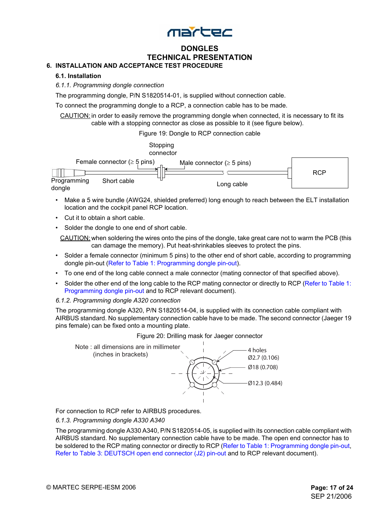

## <span id="page-22-0"></span>**6. INSTALLATION AND ACCEPTANCE TEST PROCEDURE**

#### <span id="page-22-1"></span>**6.1. Installation**

<span id="page-22-2"></span>*6.1.1. Programming dongle connection*

The programming dongle, P/N S1820514-01, is supplied without connection cable.

To connect the programming dongle to a RCP, a connection cable has to be made.

CAUTION: in order to easily remove the programming dongle when connected, it is necessary to fit its cable with a stopping connector as close as possible to it (see figure below).

Figure 19: Dongle to RCP connection cable



- Make a 5 wire bundle (AWG24, shielded preferred) long enough to reach between the ELT installation location and the cockpit panel RCP location.
- Cut it to obtain a short cable.
- Solder the dongle to one end of short cable.

CAUTION: when soldering the wires onto the pins of the dongle, take great care not to warm the PCB (this can damage the memory). Put heat-shrinkables sleeves to protect the pins.

- Solder a female connector (minimum 5 pins) to the other end of short cable, according to programming dongle pin-out [\(Refer to Table 1: Programming dongle pin-out\)](#page-18-3).
- To one end of the long cable connect a male connector (mating connector of that specified above).
- Solder the other end of the long cable to the RCP mating connector or directly to RCP [\(Refer to Table 1:](#page-18-3)  [Programming dongle pin-out](#page-18-3) and to RCP relevant document).
- <span id="page-22-3"></span>*6.1.2. Programming dongle A320 connection*

The programming dongle A320, P/N S1820514-04, is supplied with its connection cable compliant with AIRBUS standard. No supplementary connection cable have to be made. The second connector (Jaeger 19 pins female) can be fixed onto a mounting plate.



Figure 20: Drilling mask for Jaeger connector

For connection to RCP refer to AIRBUS procedures.

#### <span id="page-22-4"></span>*6.1.3. Programming dongle A330 A340*

The programming dongle A330 A340, P/N S1820514-05, is supplied with its connection cable compliant with AIRBUS standard. No supplementary connection cable have to be made. The open end connector has to be soldered to the RCP mating connector or directly to RCP ([Refer to Table 1: Programming dongle pin-out](#page-18-3), [Refer to Table 3: DEUTSCH open end connector \(J2\) pin-out](#page-21-1) and to RCP relevant document).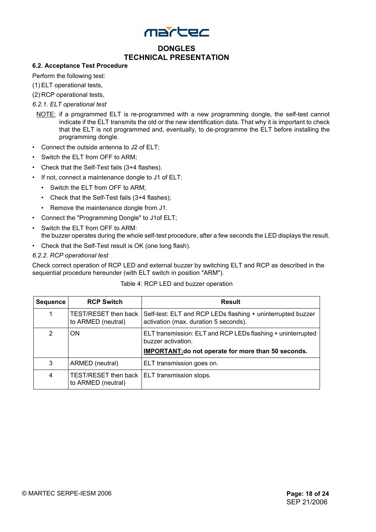

#### <span id="page-23-0"></span>**6.2. Acceptance Test Procedure**

Perform the following test:

(1) ELT operational tests,

(2) RCP operational tests,

#### <span id="page-23-1"></span>*6.2.1. ELT operational test*

- NOTE: if a programmed ELT is re-programmed with a new programming dongle, the self-test cannot indicate if the ELT transmits the old or the new identification data. That why it is important to check that the ELT is not programmed and, eventually, to de-programme the ELT before installing the programming dongle.
- Connect the outside antenna to J2 of ELT;
- Switch the ELT from OFF to ARM;
- Check that the Self-Test fails (3+4 flashes).
- If not, connect a maintenance dongle to J1 of ELT:
	- Switch the ELT from OFF to ARM;
	- Check that the Self-Test fails (3+4 flashes);
	- Remove the maintenance dongle from J1.
- Connect the "Programming Dongle" to J1of ELT;
- Switch the ELT from OFF to ARM: the buzzer operates during the whole self-test procedure, after a few seconds the LED displays the result.
- Check that the Self-Test result is OK (one long flash).

#### <span id="page-23-2"></span>*6.2.2. RCP operational test*

Check correct operation of RCP LED and external buzzer by switching ELT and RCP as described in the sequential procedure hereunder (with ELT switch in position "ARM").

#### Table 4: RCP LED and buzzer operation

| <b>Sequence</b> | <b>RCP Switch</b>                          | <b>Result</b>                                                                                                                                   |
|-----------------|--------------------------------------------|-------------------------------------------------------------------------------------------------------------------------------------------------|
| 1               | TEST/RESET then back<br>to ARMED (neutral) | Self-test: ELT and RCP LEDs flashing + uninterrupted buzzer<br>activation (max. duration 5 seconds).                                            |
| 2               | ON                                         | ELT transmission: ELT and RCP LEDs flashing + uninterrupted<br>buzzer activation.<br><b>IMPORTANT: do not operate for more than 50 seconds.</b> |
| 3               | ARMED (neutral)                            | ELT transmission goes on.                                                                                                                       |
| 4               | TEST/RESET then back<br>to ARMED (neutral) | <b>ELT</b> transmission stops.                                                                                                                  |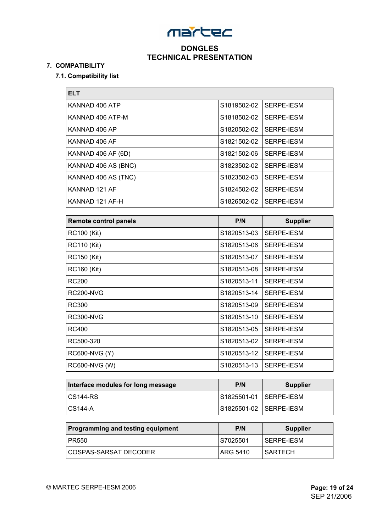

# <span id="page-24-0"></span>**7. COMPATIBILITY**

<span id="page-24-1"></span>**7.1. Compatibility list**

| <b>ELT</b>                |             |                   |
|---------------------------|-------------|-------------------|
| KANNAD 406 ATP            | S1819502-02 | <b>SERPE-IESM</b> |
| KANNAD 406 ATP-M          | S1818502-02 | <b>SERPE-IESM</b> |
| KANNAD 406 AP             | S1820502-02 | SERPE-IESM        |
| KANNAD 406 AF             | S1821502-02 | <b>SERPE-IESM</b> |
| <b>KANNAD 406 AF (6D)</b> | S1821502-06 | <b>SERPE-IESM</b> |
| KANNAD 406 AS (BNC)       | S1823502-02 | <b>SERPE-IESM</b> |
| KANNAD 406 AS (TNC)       | S1823502-03 | <b>SERPE-IESM</b> |
| KANNAD 121 AF             | S1824502-02 | SERPE-IESM        |
| KANNAD 121 AF-H           | S1826502-02 | SERPE-IESM        |

| <b>Remote control panels</b> | P/N         | <b>Supplier</b>   |
|------------------------------|-------------|-------------------|
| <b>RC100 (Kit)</b>           | S1820513-03 | SERPE-IESM        |
| <b>RC110 (Kit)</b>           | S1820513-06 | SERPE-IESM        |
| <b>RC150 (Kit)</b>           | S1820513-07 | SERPE-IESM        |
| <b>RC160 (Kit)</b>           | S1820513-08 | SERPE-IESM        |
| RC200                        | S1820513-11 | SERPE-IESM        |
| <b>RC200-NVG</b>             | S1820513-14 | SERPE-IESM        |
| <b>RC300</b>                 | S1820513-09 | SERPE-IESM        |
| <b>RC300-NVG</b>             | S1820513-10 | <b>SERPE-IESM</b> |
| <b>RC400</b>                 | S1820513-05 | <b>SERPE-IESM</b> |
| RC500-320                    | S1820513-02 | <b>SERPE-IESM</b> |
| <b>RC600-NVG (Y)</b>         | S1820513-12 | SERPE-IESM        |
| RC600-NVG (W)                | S1820513-13 | SERPE-IESM        |

| Interface modules for long message | P/N                      | <b>Supplier</b> |
|------------------------------------|--------------------------|-----------------|
| CS144-RS                           | S1825501-01   SERPE-IESM |                 |
| <b>CS144-A</b>                     | S1825501-02 SERPE-IESM   |                 |

| <b>Programming and testing equipment</b> | P/N      | <b>Supplier</b> |
|------------------------------------------|----------|-----------------|
| <b>PR550</b>                             | S7025501 | I SERPE-IESM    |
| COSPAS-SARSAT DECODER                    | ARG 5410 | ISARTECH        |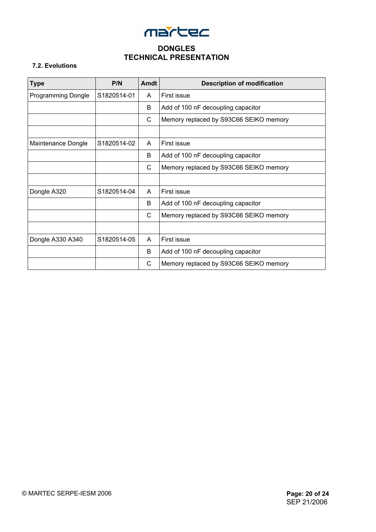

## <span id="page-25-0"></span>**7.2. Evolutions**

| <b>Type</b>               | P/N         | <b>Amdt</b> | <b>Description of modification</b>     |
|---------------------------|-------------|-------------|----------------------------------------|
| <b>Programming Dongle</b> | S1820514-01 | A           | First issue                            |
|                           |             | B           | Add of 100 nF decoupling capacitor     |
|                           |             | С           | Memory replaced by S93C66 SEIKO memory |
|                           |             |             |                                        |
| Maintenance Dongle        | S1820514-02 | A           | First issue                            |
|                           |             | B           | Add of 100 nF decoupling capacitor     |
|                           |             | C           | Memory replaced by S93C66 SEIKO memory |
|                           |             |             |                                        |
| Dongle A320               | S1820514-04 | A           | First issue                            |
|                           |             | B           | Add of 100 nF decoupling capacitor     |
|                           |             | C           | Memory replaced by S93C66 SEIKO memory |
|                           |             |             |                                        |
| Dongle A330 A340          | S1820514-05 | A           | First issue                            |
|                           |             | B           | Add of 100 nF decoupling capacitor     |
|                           |             | C           | Memory replaced by S93C66 SEIKO memory |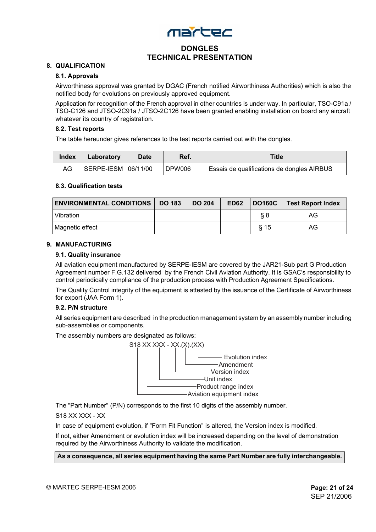

#### <span id="page-26-0"></span>**8. QUALIFICATION**

#### <span id="page-26-1"></span>**8.1. Approvals**

Airworthiness approval was granted by DGAC (French notified Airworthiness Authorities) which is also the notified body for evolutions on previously approved equipment.

Application for recognition of the French approval in other countries is under way. In particular, TSO-C91a / TSO-C126 and JTSO-2C91a / JTSO-2C126 have been granted enabling installation on board any aircraft whatever its country of registration.

#### <span id="page-26-2"></span>**8.2. Test reports**

The table hereunder gives references to the test reports carried out with the dongles.

| Index | Laboratory          | Date | Ref.   | <b>Title</b>                               |
|-------|---------------------|------|--------|--------------------------------------------|
| AG    | SERPE-IESM 06/11/00 |      | DPW006 | Essais de qualifications de dongles AIRBUS |

#### <span id="page-26-3"></span>**8.3. Qualification tests**

| <b>ENVIRONMENTAL CONDITIONS  </b> | <b>DO 183</b> | <b>DO 204</b> | <b>ED62</b> | <b>DO160C</b> | <b>Test Report Index</b> |
|-----------------------------------|---------------|---------------|-------------|---------------|--------------------------|
| l Vibration                       |               |               |             | ६ 8           | AG                       |
| Magnetic effect                   |               |               |             | S 15          | AG                       |

#### <span id="page-26-4"></span>**9. MANUFACTURING**

#### <span id="page-26-5"></span>**9.1. Quality insurance**

All aviation equipment manufactured by SERPE-IESM are covered by the JAR21-Sub part G Production Agreement number F.G.132 delivered by the French Civil Aviation Authority. It is GSAC's responsibility to control periodically compliance of the production process with Production Agreement Specifications.

The Quality Control integrity of the equipment is attested by the issuance of the Certificate of Airworthiness for export (JAA Form 1).

#### <span id="page-26-6"></span>**9.2. P/N structure**

All series equipment are described in the production management system by an assembly number including sub-assemblies or components.

The assembly numbers are designated as follows:



The "Part Number" (P/N) corresponds to the first 10 digits of the assembly number.

S18 XX XXX - XX

In case of equipment evolution, if "Form Fit Function" is altered, the Version index is modified.

If not, either Amendment or evolution index will be increased depending on the level of demonstration required by the Airworthiness Authority to validate the modification.

**As a consequence, all series equipment having the same Part Number are fully interchangeable.**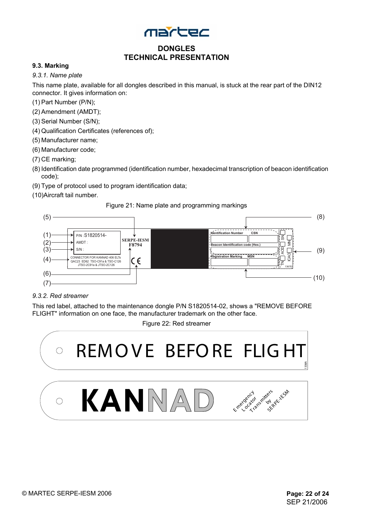

## <span id="page-27-0"></span>**9.3. Marking**

#### <span id="page-27-1"></span>*9.3.1. Name plate*

This name plate, available for all dongles described in this manual, is stuck at the rear part of the DIN12 connector. It gives information on:

- (1) Part Number (P/N);
- (2) Amendment (AMDT);
- (3) Serial Number (S/N);
- (4) Qualification Certificates (references of);
- (5) Manufacturer name;
- (6) Manufacturer code;
- (7) CE marking;
- (8) Identification date programmed (identification number, hexadecimal transcription of beacon identification code);
- (9) Type of protocol used to program identification data;
- (10)Aircraft tail number.





#### <span id="page-27-2"></span>*9.3.2. Red streamer*

This red label, attached to the maintenance dongle P/N S1820514-02, shows a "REMOVE BEFORE FLIGHT" information on one face, the manufacturer trademark on the other face.

Figure 22: Red streamer

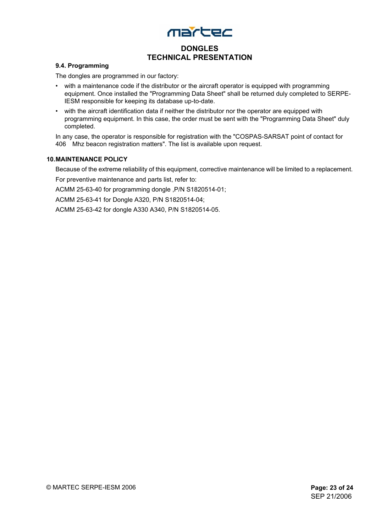

#### <span id="page-28-0"></span>**9.4. Programming**

The dongles are programmed in our factory:

- with a maintenance code if the distributor or the aircraft operator is equipped with programming equipment. Once installed the "Programming Data Sheet" shall be returned duly completed to SERPE-IESM responsible for keeping its database up-to-date.
- with the aircraft identification data if neither the distributor nor the operator are equipped with programming equipment. In this case, the order must be sent with the "Programming Data Sheet" duly completed.

In any case, the operator is responsible for registration with the "COSPAS-SARSAT point of contact for 406 Mhz beacon registration matters". The list is available upon request.

#### **10.MAINTENANCE POLICY**

Because of the extreme reliability of this equipment, corrective maintenance will be limited to a replacement.

For preventive maintenance and parts list, refer to:

ACMM 25-63-40 for programming dongle ,P/N S1820514-01;

ACMM 25-63-41 for Dongle A320, P/N S1820514-04;

ACMM 25-63-42 for dongle A330 A340, P/N S1820514-05.